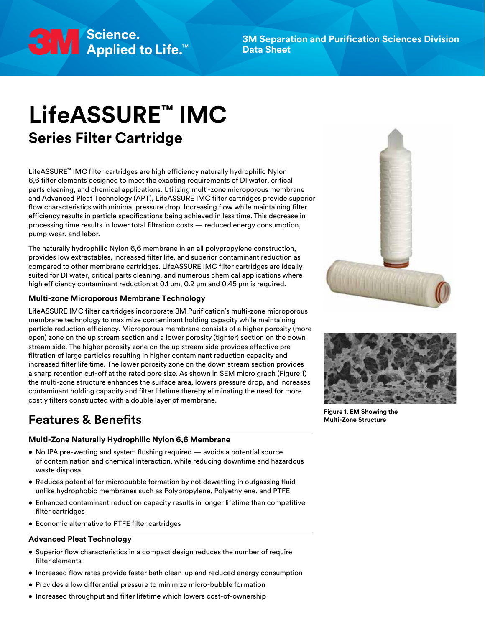

**3M Separation and Purification Sciences Division Data Sheet**

# **LifeASSURE™ IMC Series Filter Cartridge**

LifeASSURE™ IMC filter cartridges are high efficiency naturally hydrophilic Nylon 6,6 filter elements designed to meet the exacting requirements of DI water, critical parts cleaning, and chemical applications. Utilizing multi-zone microporous membrane and Advanced Pleat Technology (APT), LifeASSURE IMC filter cartridges provide superior flow characteristics with minimal pressure drop. Increasing flow while maintaining filter efficiency results in particle specifications being achieved in less time. This decrease in processing time results in lower total filtration costs — reduced energy consumption, pump wear, and labor.

The naturally hydrophilic Nylon 6,6 membrane in an all polypropylene construction, provides low extractables, increased filter life, and superior contaminant reduction as compared to other membrane cartridges. LifeASSURE IMC filter cartridges are ideally suited for DI water, critical parts cleaning, and numerous chemical applications where high efficiency contaminant reduction at 0.1 μm, 0.2 μm and 0.45 μm is required.

#### **Multi-zone Microporous Membrane Technology**

LifeASSURE IMC filter cartridges incorporate 3M Purification's multi-zone microporous membrane technology to maximize contaminant holding capacity while maintaining particle reduction efficiency. Microporous membrane consists of a higher porosity (more open) zone on the up stream section and a lower porosity (tighter) section on the down stream side. The higher porosity zone on the up stream side provides effective prefiltration of large particles resulting in higher contaminant reduction capacity and increased filter life time. The lower porosity zone on the down stream section provides a sharp retention cut-off at the rated pore size. As shown in SEM micro graph (Figure 1) the multi-zone structure enhances the surface area, lowers pressure drop, and increases contaminant holding capacity and filter lifetime thereby eliminating the need for more costly filters constructed with a double layer of membrane.

# **Features & Benefits**

# **Multi-Zone Naturally Hydrophilic Nylon 6,6 Membrane**

- No IPA pre-wetting and system flushing required avoids a potential source of contamination and chemical interaction, while reducing downtime and hazardous waste disposal
- Reduces potential for microbubble formation by not dewetting in outgassing fluid unlike hydrophobic membranes such as Polypropylene, Polyethylene, and PTFE
- Enhanced contaminant reduction capacity results in longer lifetime than competitive filter cartridges
- Economic alternative to PTFE filter cartridges

#### **Advanced Pleat Technology**

- Superior flow characteristics in a compact design reduces the number of require filter elements
- Increased flow rates provide faster bath clean-up and reduced energy consumption
- Provides a low differential pressure to minimize micro-bubble formation
	-





**Figure 1. EM Showing the Multi-Zone Structure**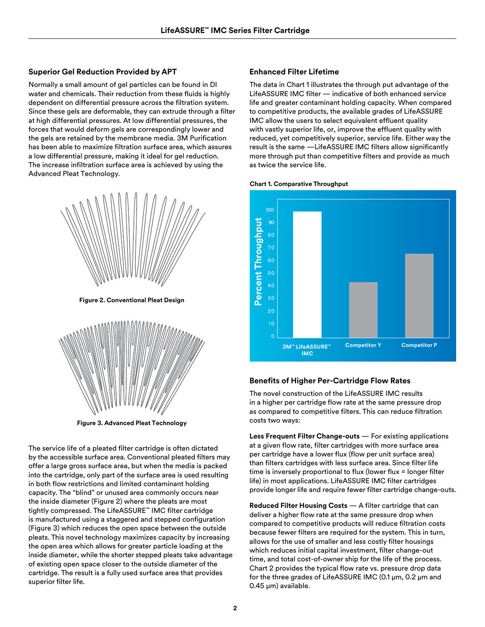# **Superior Gel Reduction Provided by APT**

Normally a small amount of gel particles can be found in DI water and chemicals. Their reduction from these fluids is highly dependent on differential pressure across the filtration system. Since these gels are deformable, they can extrude through a filter at high differential pressures. At low differential pressures, the forces that would deform gels are correspondingly lower and the gels are retained by the membrane media. 3M Purification has been able to maximize filtration surface area, which assures a low differential pressure, making it ideal for gel reduction. The increase infiltration surface area is achieved by using the Advanced Pleat Technology.



**Figure 2. Conventional Pleat Design**



**Figure 3. Advanced Pleat Technology**

The service life of a pleated filter cartridge is often dictated by the accessible surface area. Conventional pleated filters may offer a large gross surface area, but when the media is packed into the cartridge, only part of the surface area is used resulting in both flow restrictions and limited contaminant holding capacity. The "blind" or unused area commonly occurs near the inside diameter (Figure 2) where the pleats are most tightly compressed. The LifeASSURE™ IMC filter cartridge is manufactured using a staggered and stepped configuration (Figure 3) which reduces the open space between the outside pleats. This novel technology maximizes capacity by increasing the open area which allows for greater particle loading at the inside diameter, while the shorter stepped pleats take advantage of existing open space closer to the outside diameter of the cartridge. The result is a fully used surface area that provides superior filter life.

#### **Enhanced Filter Lifetime**

The data in Chart 1 illustrates the through put advantage of the LifeASSURE IMC filter — indicative of both enhanced service life and greater contaminant holding capacity. When compared to competitive products, the available grades of LifeASSURE IMC allow the users to select equivalent effluent quality with vastly superior life, or, improve the effluent quality with reduced, yet competitively superior, service life. Either way the result is the same —LifeASSURE IMC filters allow significantly more through put than competitive filters and provide as much as twice the service life.





## **Benefits of Higher Per-Cartridge Flow Rates**

The novel construction of the LifeASSURE IMC results in a higher per cartridge flow rate at the same pressure drop as compared to competitive filters. This can reduce filtration costs two ways:

**Less Frequent Filter Change-outs** — For existing applications at a given flow rate, filter cartridges with more surface area per cartridge have a lower flux (flow per unit surface area) than filters cartridges with less surface area. Since filter life time is inversely proportional to flux (lower flux = longer filter life) in most applications. LifeASSURE IMC filter cartridges provide longer life and require fewer filter cartridge change-outs.

**Reduced Filter Housing Costs** — A filter cartridge that can deliver a higher flow rate at the same pressure drop when compared to competitive products will reduce filtration costs because fewer filters are required for the system. This in turn, allows for the use of smaller and less costly filter housings which reduces initial capital investment, filter change-out time, and total cost-of-owner ship for the life of the process. Chart 2 provides the typical flow rate vs. pressure drop data for the three grades of LifeASSURE IMC (0.1 μm, 0.2 μm and 0.45 μm) available.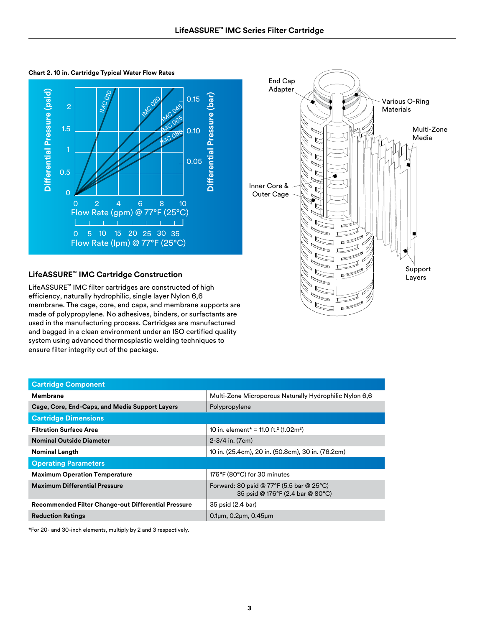Differential Pressure (psid) **Differential Pressure (psid) MC 010** Differential Pressure (bar) **Differential Pressure (bar)** 0.15 **IMC 020** 2 **IMC 045 MC 065** 1.5 0.10 **MC 080** 0.05 0.5 0 0 2 4 6 8 10 Flow Rate (gpm) @ 77°F (25°C) × 0 5 10 15 20 25 30 35 Flow Rate (lpm) @ 77°F (25°C)

#### **Chart 2. 10 in. Cartridge Typical Water Flow Rates**



## **LifeASSURE™ IMC Cartridge Construction**

LifeASSURE™ IMC filter cartridges are constructed of high efficiency, naturally hydrophilic, single layer Nylon 6,6 membrane. The cage, core, end caps, and membrane supports are made of polypropylene. No adhesives, binders, or surfactants are used in the manufacturing process. Cartridges are manufactured and bagged in a clean environment under an ISO certified quality system using advanced thermosplastic welding techniques to ensure filter integrity out of the package.

| <b>Cartridge Component</b>                                 |                                                                              |  |  |  |  |
|------------------------------------------------------------|------------------------------------------------------------------------------|--|--|--|--|
| Membrane                                                   | Multi-Zone Microporous Naturally Hydrophilic Nylon 6,6                       |  |  |  |  |
| Cage, Core, End-Caps, and Media Support Layers             | Polypropylene                                                                |  |  |  |  |
| <b>Cartridge Dimensions</b>                                |                                                                              |  |  |  |  |
| <b>Filtration Surface Area</b>                             | 10 in. element* = 11.0 ft. <sup>2</sup> (1.02m <sup>2</sup> )                |  |  |  |  |
| <b>Nominal Outside Diameter</b>                            | $2-3/4$ in. $(7cm)$                                                          |  |  |  |  |
| <b>Nominal Length</b>                                      | 10 in. (25.4cm), 20 in. (50.8cm), 30 in. (76.2cm)                            |  |  |  |  |
| <b>Operating Parameters</b>                                |                                                                              |  |  |  |  |
| <b>Maximum Operation Temperature</b>                       | 176°F (80°C) for 30 minutes                                                  |  |  |  |  |
| <b>Maximum Differential Pressure</b>                       | Forward: 80 psid @ 77°F (5.5 bar @ 25°C)<br>35 psid @ 176°F (2.4 bar @ 80°C) |  |  |  |  |
| <b>Recommended Filter Change-out Differential Pressure</b> | 35 psid (2.4 bar)                                                            |  |  |  |  |
| <b>Reduction Ratings</b>                                   | $0.1\mu$ m, $0.2\mu$ m, $0.45\mu$ m                                          |  |  |  |  |

\*For 20- and 30-inch elements, multiply by 2 and 3 respectively.